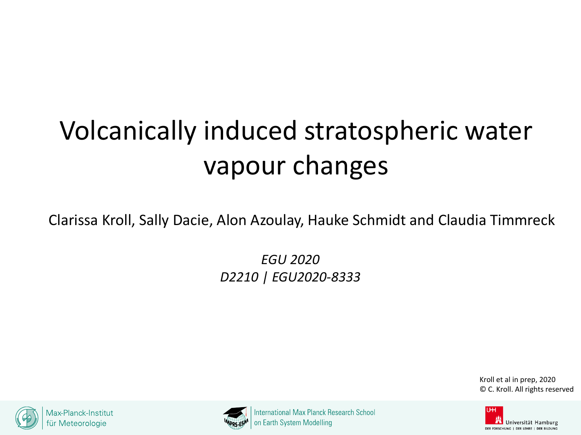# Volcanically induced stratospheric water vapour changes

Clarissa Kroll, Sally Dacie, Alon Azoulay, Hauke Schmidt and Claudia Timmreck

*EGU 2020 D2210 | EGU2020-8333*

> Kroll et al in prep, 2020 © C. Kroll. All rights reserved





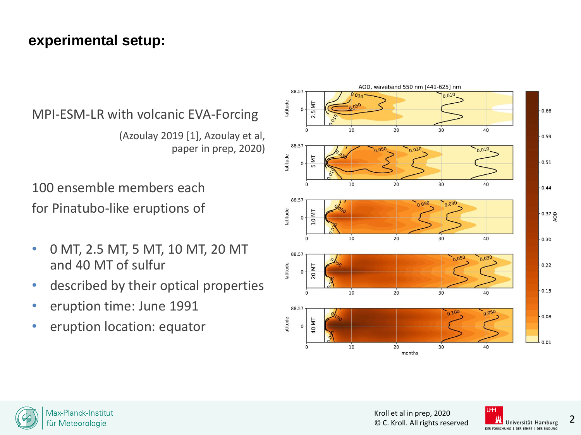## **experimental setup:**

MPI-ESM-LR with volcanic EVA-Forcing

(Azoulay 2019 [1], Azoulay et al, paper in prep, 2020)

100 ensemble members each for Pinatubo-like eruptions of

- 0 MT, 2.5 MT, 5 MT, 10 MT, 20 MT and 40 MT of sulfur
- described by their optical properties
- eruption time: June 1991
- eruption location: equator





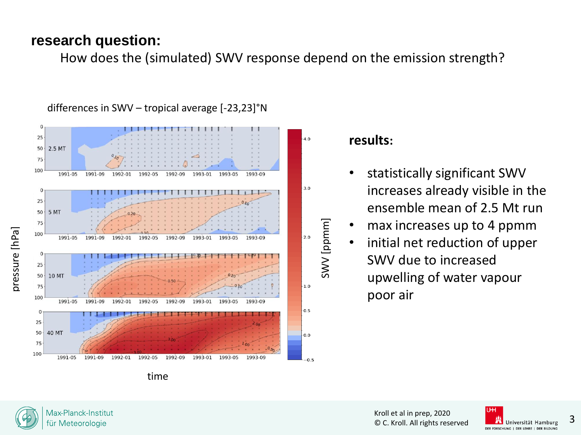## **research question:**

How does the (simulated) SWV response depend on the emission strength?



### differences in SWV – tropical average [-23,23]°N

### **results:**

SWV [ppmm]

[mmqq] WV

- statistically significant SWV increases already visible in the ensemble mean of 2.5 Mt run
- max increases up to 4 ppmm
- initial net reduction of upper SWV due to increased upwelling of water vapour poor air



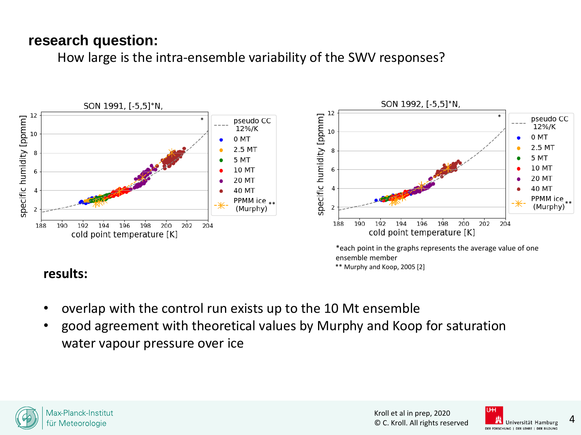## **research question:**

How large is the intra-ensemble variability of the SWV responses?



## **results:**

- overlap with the control run exists up to the 10 Mt ensemble
- good agreement with theoretical values by Murphy and Koop for saturation water vapour pressure over ice



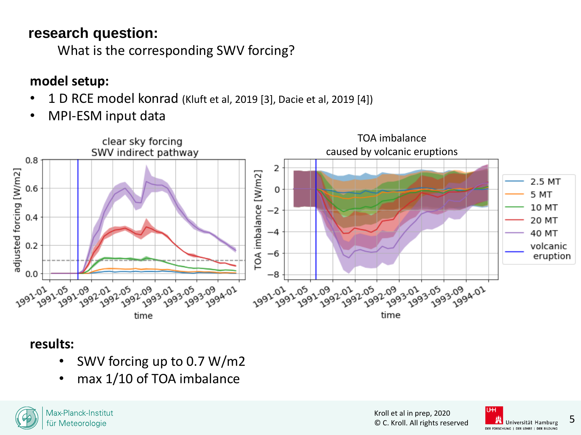# **research question:**

What is the corresponding SWV forcing?

# **model setup:**

- 1 D RCE model konrad (Kluft et al, 2019 [3], Dacie et al, 2019 [4])
- MPI-ESM input data



## **results:**

- SWV forcing up to 0.7 W/m2
- max 1/10 of TOA imbalance